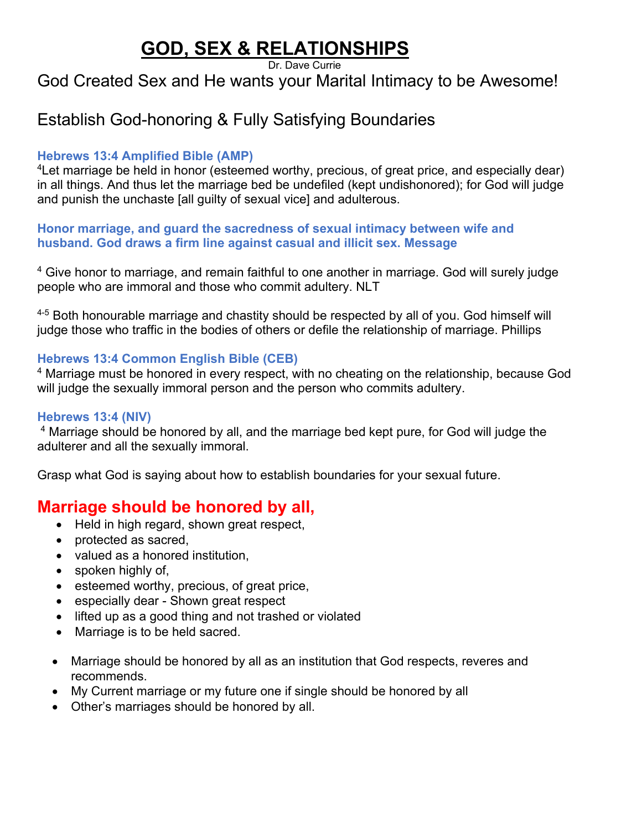# **GOD, SEX & RELATIONSHIPS**

Dr. Dave Currie

## God Created Sex and He wants your Marital Intimacy to be Awesome!

## Establish God-honoring & Fully Satisfying Boundaries

### **Hebrews 13:4 Amplified Bible (AMP)**

4Let marriage be held in honor (esteemed worthy, precious, of great price, and especially dear) in all things. And thus let the marriage bed be undefiled (kept undishonored); for God will judge and punish the unchaste [all guilty of sexual vice] and adulterous.

**Honor marriage, and guard the sacredness of sexual intimacy between wife and husband. God draws a firm line against casual and illicit sex. Message**

<sup>4</sup> Give honor to marriage, and remain faithful to one another in marriage. God will surely judge people who are immoral and those who commit adultery. NLT

<sup>4-5</sup> Both honourable marriage and chastity should be respected by all of you. God himself will judge those who traffic in the bodies of others or defile the relationship of marriage. Phillips

### **Hebrews 13:4 Common English Bible (CEB)**

<sup>4</sup> Marriage must be honored in every respect, with no cheating on the relationship, because God will judge the sexually immoral person and the person who commits adultery.

#### **Hebrews 13:4 (NIV)**

<sup>4</sup> Marriage should be honored by all, and the marriage bed kept pure, for God will judge the adulterer and all the sexually immoral.

Grasp what God is saying about how to establish boundaries for your sexual future.

## **Marriage should be honored by all,**

- Held in high regard, shown great respect,
- protected as sacred,
- valued as a honored institution,
- spoken highly of,
- esteemed worthy, precious, of great price,
- especially dear Shown great respect
- lifted up as a good thing and not trashed or violated
- Marriage is to be held sacred.
- Marriage should be honored by all as an institution that God respects, reveres and recommends.
- My Current marriage or my future one if single should be honored by all
- Other's marriages should be honored by all.